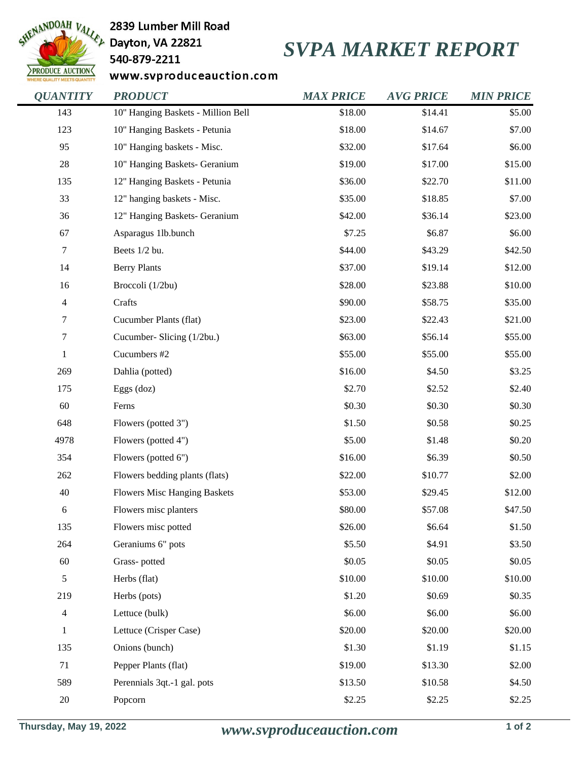

2839 Lumber Mill Road

540-879-2211

## *SVPA MARKET REPORT*

www.svproduceauction.com

| <b>QUANTITY</b>  | <b>PRODUCT</b>                      | <b>MAX PRICE</b> | <b>AVG PRICE</b> | <b>MIN PRICE</b> |
|------------------|-------------------------------------|------------------|------------------|------------------|
| 143              | 10" Hanging Baskets - Million Bell  | \$18.00          | \$14.41          | \$5.00           |
| 123              | 10" Hanging Baskets - Petunia       | \$18.00          | \$14.67          | \$7.00           |
| 95               | 10" Hanging baskets - Misc.         | \$32.00          | \$17.64          | \$6.00           |
| 28               | 10" Hanging Baskets- Geranium       | \$19.00          | \$17.00          | \$15.00          |
| 135              | 12" Hanging Baskets - Petunia       | \$36.00          | \$22.70          | \$11.00          |
| 33               | 12" hanging baskets - Misc.         | \$35.00          | \$18.85          | \$7.00           |
| 36               | 12" Hanging Baskets- Geranium       | \$42.00          | \$36.14          | \$23.00          |
| 67               | Asparagus 1lb.bunch                 | \$7.25           | \$6.87           | \$6.00           |
| $\boldsymbol{7}$ | Beets 1/2 bu.                       | \$44.00          | \$43.29          | \$42.50          |
| 14               | <b>Berry Plants</b>                 | \$37.00          | \$19.14          | \$12.00          |
| 16               | Broccoli (1/2bu)                    | \$28.00          | \$23.88          | \$10.00          |
| $\overline{4}$   | Crafts                              | \$90.00          | \$58.75          | \$35.00          |
| $\tau$           | Cucumber Plants (flat)              | \$23.00          | \$22.43          | \$21.00          |
| $\tau$           | Cucumber- Slicing (1/2bu.)          | \$63.00          | \$56.14          | \$55.00          |
| $\mathbf{1}$     | Cucumbers #2                        | \$55.00          | \$55.00          | \$55.00          |
| 269              | Dahlia (potted)                     | \$16.00          | \$4.50           | \$3.25           |
| 175              | Eggs (doz)                          | \$2.70           | \$2.52           | \$2.40           |
| 60               | Ferns                               | \$0.30           | \$0.30           | \$0.30           |
| 648              | Flowers (potted 3")                 | \$1.50           | \$0.58           | \$0.25           |
| 4978             | Flowers (potted 4")                 | \$5.00           | \$1.48           | \$0.20           |
| 354              | Flowers (potted 6")                 | \$16.00          | \$6.39           | \$0.50           |
| 262              | Flowers bedding plants (flats)      | \$22.00          | \$10.77          | \$2.00           |
| 40               | <b>Flowers Misc Hanging Baskets</b> | \$53.00          | \$29.45          | \$12.00          |
| 6                | Flowers misc planters               | \$80.00          | \$57.08          | \$47.50          |
| 135              | Flowers misc potted                 | \$26.00          | \$6.64           | \$1.50           |
| 264              | Geraniums 6" pots                   | \$5.50           | \$4.91           | \$3.50           |
| 60               | Grass-potted                        | \$0.05           | \$0.05           | \$0.05           |
| $\sqrt{5}$       | Herbs (flat)                        | \$10.00          | \$10.00          | \$10.00          |
| 219              | Herbs (pots)                        | \$1.20           | \$0.69           | \$0.35           |
| $\overline{4}$   | Lettuce (bulk)                      | \$6.00           | \$6.00           | \$6.00           |
| $\mathbf{1}$     | Lettuce (Crisper Case)              | \$20.00          | \$20.00          | \$20.00          |
| 135              | Onions (bunch)                      | \$1.30           | \$1.19           | \$1.15           |
| 71               | Pepper Plants (flat)                | \$19.00          | \$13.30          | \$2.00           |
| 589              | Perennials 3qt.-1 gal. pots         | \$13.50          | \$10.58          | \$4.50           |
| $20\,$           | Popcorn                             | \$2.25           | \$2.25           | \$2.25           |
|                  |                                     |                  |                  |                  |

**Thursday, May 19, 2022** *www.svproduceauction.com* **1 of 2**